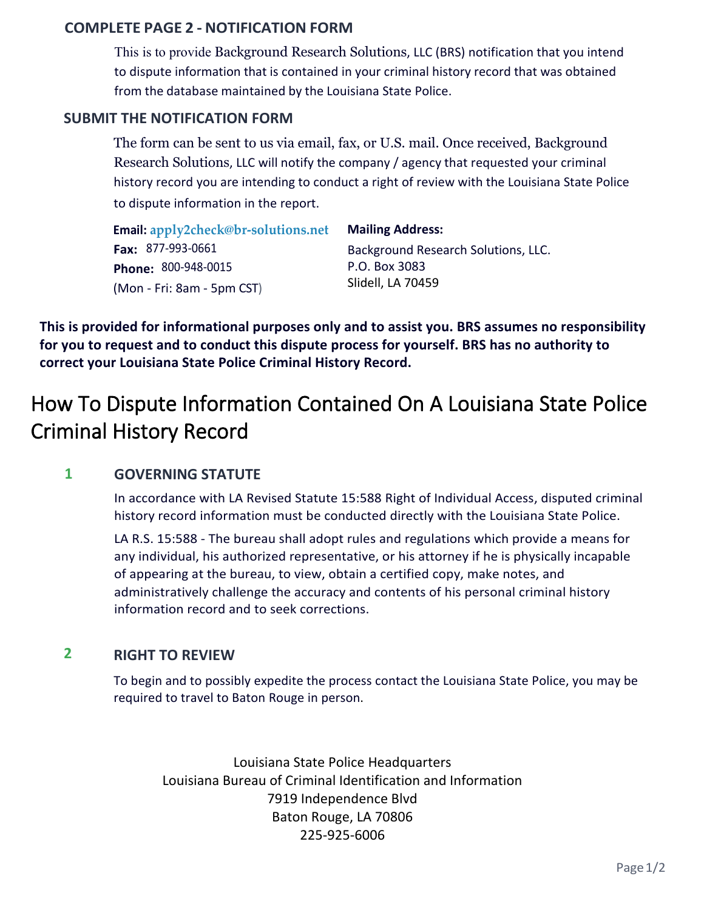## **COMPLETE PAGE 2 - NOTIFICATION FORM**

This is to provide Background Research Solutions, LLC (BRS) notification that you intend to dispute information that is contained in your criminal history record that was obtained from the database maintained by the Louisiana State Police.

### **SUBMIT THE NOTIFICATION FORM**

The form can be sent to us via email, fax, or U.S. mail. Once received, Background Research Solutions, LLC will notify the company / agency that requested your criminal history record you are intending to conduct a right of review with the Louisiana State Police to dispute information in the report.

| Email: apply2check@br-solutions.net | <b>Mailing Address:</b>             |
|-------------------------------------|-------------------------------------|
| Fax: $877-993-0661$                 | Background Research Solutions, LLC. |
| Phone: 800-948-0015                 | P.O. Box 3083                       |
| (Mon - Fri: 8am - 5pm CST)          | Slidell, LA 70459                   |

**This is provided for informational purposes only and to assist you. BRS assumes no responsibility for you to request and to conduct this dispute process for yourself. BRS has no authority to correct your Louisiana State Police Criminal History Record.** 

## How To Dispute Information Contained On A Louisiana State Police Criminal History Record

#### **1 GOVERNING STATUTE**

In accordance with LA Revised Statute 15:588 Right of Individual Access, disputed criminal history record information must be conducted directly with the Louisiana State Police.

LA R.S. 15:588 - The bureau shall adopt rules and regulations which provide a means for any individual, his authorized representative, or his attorney if he is physically incapable of appearing at the bureau, to view, obtain a certified copy, make notes, and administratively challenge the accuracy and contents of his personal criminal history information record and to seek corrections.

#### **2 RIGHT TO REVIEW**

To begin and to possibly expedite the process contact the Louisiana State Police, you may be required to travel to Baton Rouge in person.

Louisiana State Police Headquarters Louisiana Bureau of Criminal Identification and Information 7919 Independence Blvd Baton Rouge, LA 70806 225-925-6006